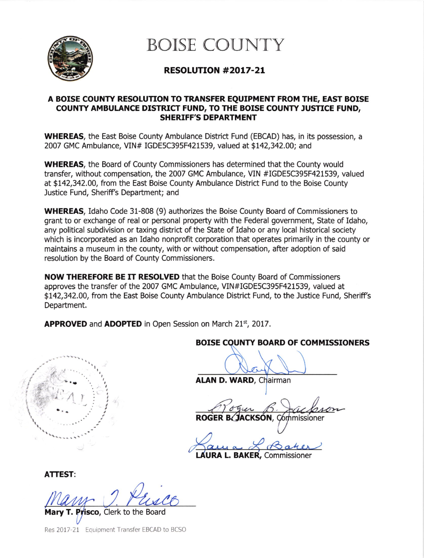

BOISE COUNTY

# RESOLUTION #2OL7-2L

### A BOISE COUNTY RESOLUTION TO TRANSFER EQUIPMENT FROM THE, EAST BOISE COUNTY AMBULANCE DISTRICT FUND, TO THE BOISE COUNTY JUSTICE FUND, SHERIFF'S DEPARTMENT

WHEREAS, the East Boise County Ambulance District Fund (EBCAD) has, in its possession, a 2007 GMC Ambulance, VIN# IGDE5C395F421539, valued at \$142,342.00; and

WHEREAS, the Board of County Commissioners has determined that the County would transfer, without compensation, the 2007 GMC Ambulance, VIN #IGDE5C395F421539, valued at \$t42,342.00, from the East Boise County Ambulance District Fund to the Boise County Justice Fund, Sheriff's Department; and

WHEREAS, Idaho Code 31-808 (9) authorizes the Boise County Board of Commissioners to grant to or exchange of real or personal property with the Federal government, State of Idaho, any political subdivision or taxing district of the State of Idaho or any local historical society which is incorporated as an Idaho nonprofit corporation that operates primarily in the county or maintains a museum in the county, with or without compensation, after adoption of said resolution by the Board of County Commissioners.

NOW THEREFORE BE IT RESOLVED that the Boise County Board of Commissioners approves the transfer of the 2007 GMC Ambulance, VIN#IGDE5C395F421539, valued at \$L42,342.00, from the East Boise County Ambulance District Fund, to the Justice Fund, Sheriff's Department.

**APPROVED** and **ADOPTED** in Open Session on March  $21<sup>st</sup>$ , 2017.



## BOISE COUNTY BOARD OF COMMISSIONERS

ALAN D. WARD, Chairman

ROGER B. JACKSON, Commissioner

**AURA L. BAKER, Commissioner** 

ATTEST:

**Prisco.** Clerk to the Board

Res 2017-21 Equipment Transfer EBCAD to BCSO